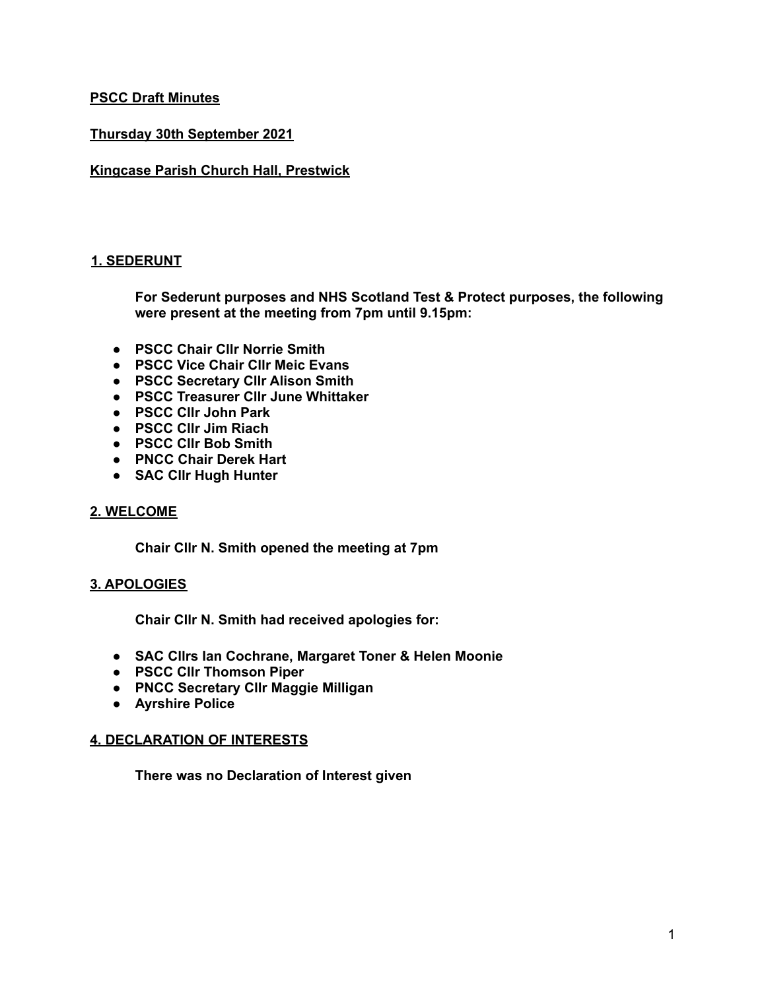### **PSCC Draft Minutes**

### **Thursday 30th September 2021**

#### **Kingcase Parish Church Hall, Prestwick**

#### **1. SEDERUNT**

**For Sederunt purposes and NHS Scotland Test & Protect purposes, the following were present at the meeting from 7pm until 9.15pm:**

- **● PSCC Chair Cllr Norrie Smith**
- **● PSCC Vice Chair Cllr Meic Evans**
- **● PSCC Secretary Cllr Alison Smith**
- **● PSCC Treasurer Cllr June Whittaker**
- **● PSCC Cllr John Park**
- **● PSCC Cllr Jim Riach**
- **● PSCC Cllr Bob Smith**
- **● PNCC Chair Derek Hart**
- **● SAC Cllr Hugh Hunter**

#### **2. WELCOME**

**Chair Cllr N. Smith opened the meeting at 7pm**

#### **3. APOLOGIES**

**Chair Cllr N. Smith had received apologies for:**

- **● SAC Cllrs Ian Cochrane, Margaret Toner & Helen Moonie**
- **● PSCC Cllr Thomson Piper**
- **● PNCC Secretary Cllr Maggie Milligan**
- **● Ayrshire Police**

#### **4. DECLARATION OF INTERESTS**

**There was no Declaration of Interest given**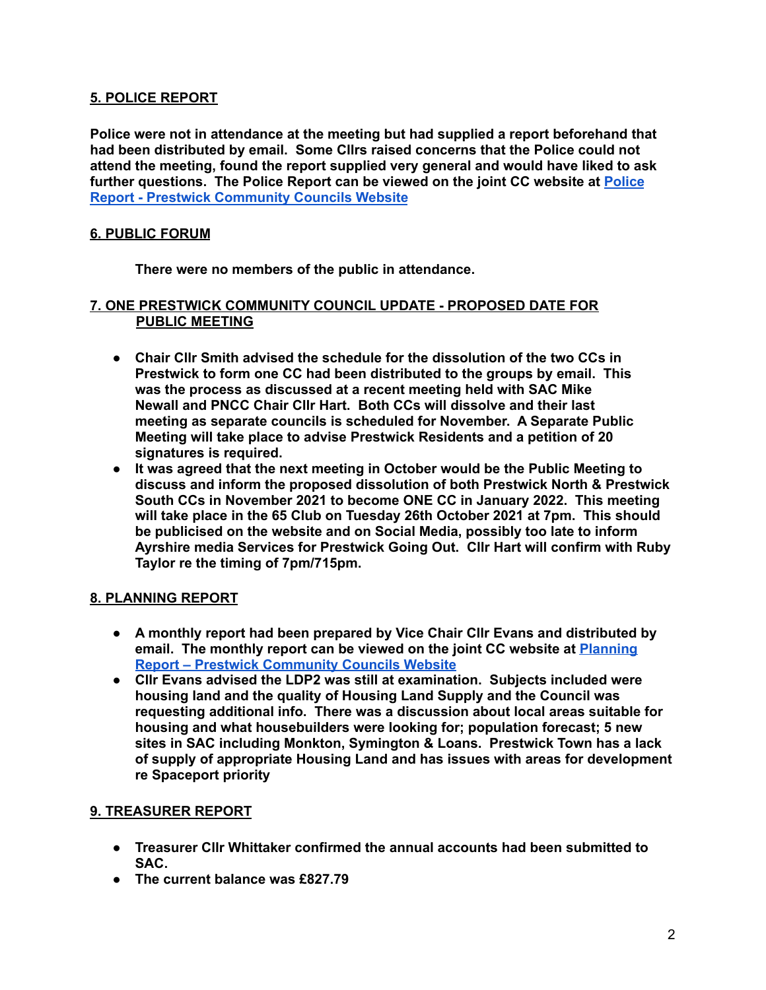### **5. POLICE REPORT**

**Police were not in attendance at the meeting but had supplied a report beforehand that had been distributed by email. Some Cllrs raised concerns that the Police could not attend the meeting, found the report supplied very general and would have liked to ask further questions. The Police Report can be viewed on the joint CC website at [Police](http://www.prestwicksouth.co.uk/police-reports/) Report - Prestwick [Community](http://www.prestwicksouth.co.uk/police-reports/) Councils Website**

## **6. PUBLIC FORUM**

**There were no members of the public in attendance.**

#### **7. ONE PRESTWICK COMMUNITY COUNCIL UPDATE - PROPOSED DATE FOR PUBLIC MEETING**

- **Chair Cllr Smith advised the schedule for the dissolution of the two CCs in Prestwick to form one CC had been distributed to the groups by email. This was the process as discussed at a recent meeting held with SAC Mike Newall and PNCC Chair Cllr Hart. Both CCs will dissolve and their last meeting as separate councils is scheduled for November. A Separate Public Meeting will take place to advise Prestwick Residents and a petition of 20 signatures is required.**
- **● It was agreed that the next meeting in October would be the Public Meeting to discuss and inform the proposed dissolution of both Prestwick North & Prestwick South CCs in November 2021 to become ONE CC in January 2022. This meeting will take place in the 65 Club on Tuesday 26th October 2021 at 7pm. This should be publicised on the website and on Social Media, possibly too late to inform Ayrshire media Services for Prestwick Going Out. Cllr Hart will confirm with Ruby Taylor re the timing of 7pm/715pm.**

### **8. PLANNING REPORT**

- **● A monthly report had been prepared by Vice Chair Cllr Evans and distributed by email. The monthly report can be viewed on the joint CC website at [Planning](http://www.prestwicksouth.co.uk/banner/planning-report/) Report – Prestwick [Community](http://www.prestwicksouth.co.uk/banner/planning-report/) Councils Website**
- **● Cllr Evans advised the LDP2 was still at examination. Subjects included were housing land and the quality of Housing Land Supply and the Council was requesting additional info. There was a discussion about local areas suitable for housing and what housebuilders were looking for; population forecast; 5 new sites in SAC including Monkton, Symington & Loans. Prestwick Town has a lack of supply of appropriate Housing Land and has issues with areas for development re Spaceport priority**

# **9. TREASURER REPORT**

- **● Treasurer Cllr Whittaker confirmed the annual accounts had been submitted to SAC.**
- **● The current balance was £827.79**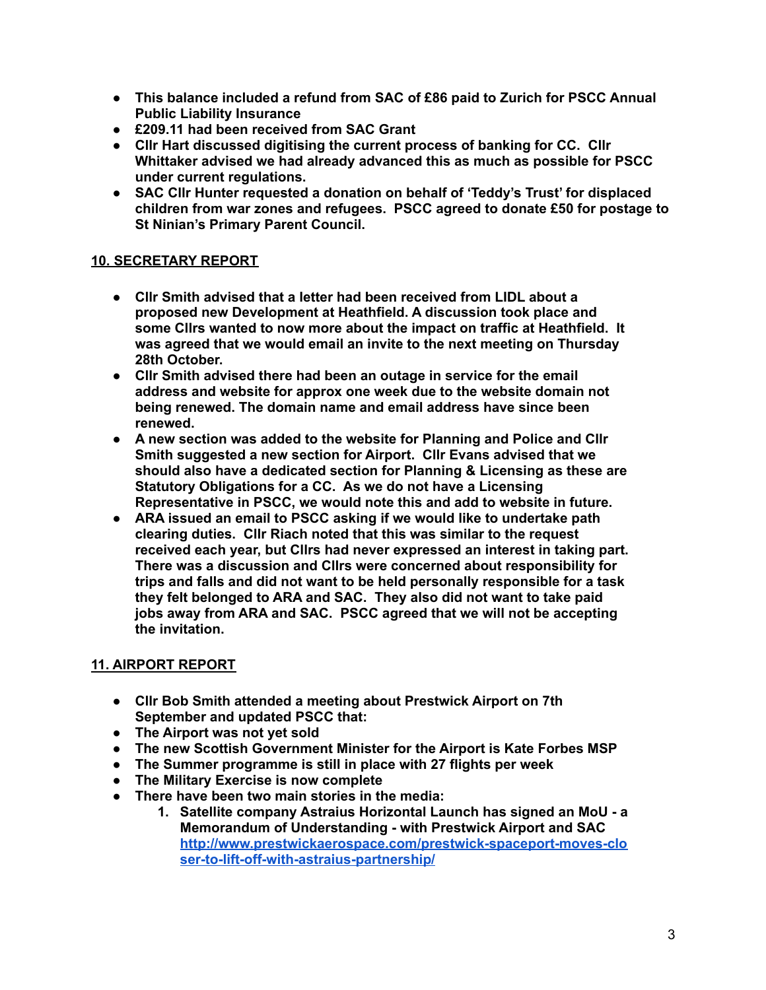- **● This balance included a refund from SAC of £86 paid to Zurich for PSCC Annual Public Liability Insurance**
- **● £209.11 had been received from SAC Grant**
- **● Cllr Hart discussed digitising the current process of banking for CC. Cllr Whittaker advised we had already advanced this as much as possible for PSCC under current regulations.**
- **● SAC Cllr Hunter requested a donation on behalf of 'Teddy's Trust' for displaced children from war zones and refugees. PSCC agreed to donate £50 for postage to St Ninian's Primary Parent Council.**

# **10. SECRETARY REPORT**

- **● Cllr Smith advised that a letter had been received from LIDL about a proposed new Development at Heathfield. A discussion took place and some Cllrs wanted to now more about the impact on traffic at Heathfield. It was agreed that we would email an invite to the next meeting on Thursday 28th October.**
- **● Cllr Smith advised there had been an outage in service for the email address and website for approx one week due to the website domain not being renewed. The domain name and email address have since been renewed.**
- **● A new section was added to the website for Planning and Police and Cllr Smith suggested a new section for Airport. Cllr Evans advised that we should also have a dedicated section for Planning & Licensing as these are Statutory Obligations for a CC. As we do not have a Licensing Representative in PSCC, we would note this and add to website in future.**
- **● ARA issued an email to PSCC asking if we would like to undertake path clearing duties. Cllr Riach noted that this was similar to the request received each year, but Cllrs had never expressed an interest in taking part. There was a discussion and Cllrs were concerned about responsibility for trips and falls and did not want to be held personally responsible for a task they felt belonged to ARA and SAC. They also did not want to take paid jobs away from ARA and SAC. PSCC agreed that we will not be accepting the invitation.**

# **11. AIRPORT REPORT**

- **● Cllr Bob Smith attended a meeting about Prestwick Airport on 7th September and updated PSCC that:**
- **● The Airport was not yet sold**
- **● The new Scottish Government Minister for the Airport is Kate Forbes MSP**
- **● The Summer programme is still in place with 27 flights per week**
- **● The Military Exercise is now complete**
- **● There have been two main stories in the media:**
	- **1. Satellite company Astraius Horizontal Launch has signed an MoU - a Memorandum of Understanding - with Prestwick Airport and SAC [http://www.prestwickaerospace.com/prestwick-spaceport-moves-clo](http://www.prestwickaerospace.com/prestwick-spaceport-moves-closer-to-lift-off-with-astraius-partnership/) [ser-to-lift-off-with-astraius-partnership/](http://www.prestwickaerospace.com/prestwick-spaceport-moves-closer-to-lift-off-with-astraius-partnership/)**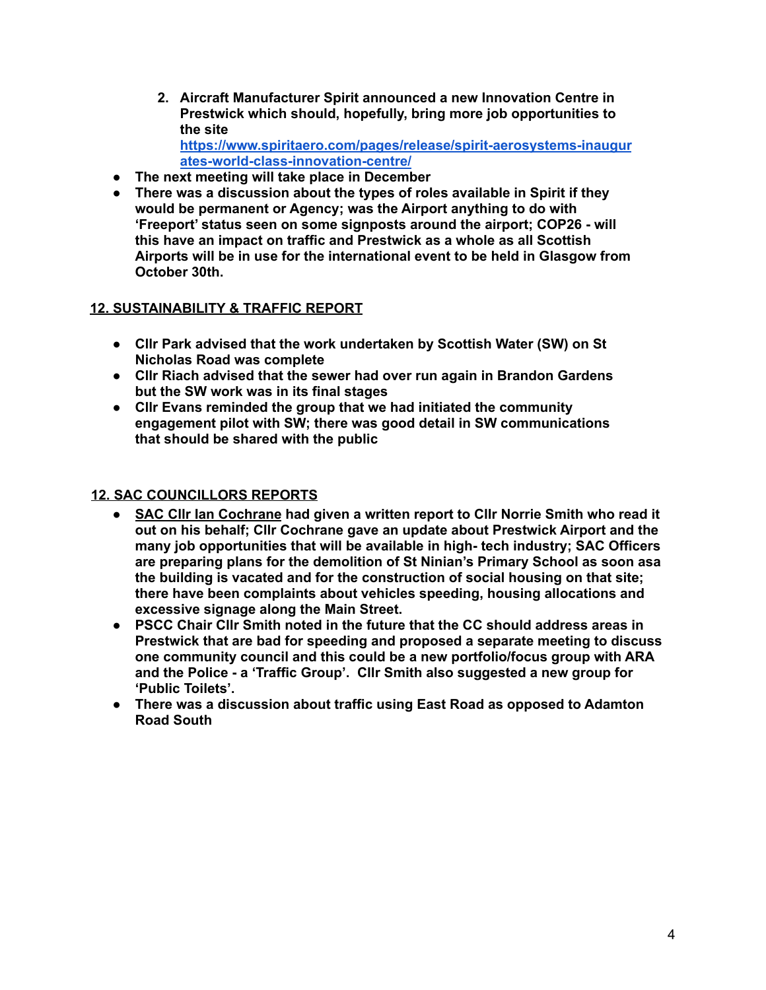- **2. Aircraft Manufacturer Spirit announced a new Innovation Centre in Prestwick which should, hopefully, bring more job opportunities to the site [https://www.spiritaero.com/pages/release/spirit-aerosystems-inaugur](https://www.spiritaero.com/pages/release/spirit-aerosystems-inaugurates-world-class-innovation-centre/)**
- **[ates-world-class-innovation-centre/](https://www.spiritaero.com/pages/release/spirit-aerosystems-inaugurates-world-class-innovation-centre/)**
- **● The next meeting will take place in December**
- **● There was a discussion about the types of roles available in Spirit if they would be permanent or Agency; was the Airport anything to do with 'Freeport' status seen on some signposts around the airport; COP26 - will this have an impact on traffic and Prestwick as a whole as all Scottish Airports will be in use for the international event to be held in Glasgow from October 30th.**

### **12. SUSTAINABILITY & TRAFFIC REPORT**

- **● Cllr Park advised that the work undertaken by Scottish Water (SW) on St Nicholas Road was complete**
- **● Cllr Riach advised that the sewer had over run again in Brandon Gardens but the SW work was in its final stages**
- **● Cllr Evans reminded the group that we had initiated the community engagement pilot with SW; there was good detail in SW communications that should be shared with the public**

# **12. SAC COUNCILLORS REPORTS**

- **● SAC Cllr Ian Cochrane had given a written report to Cllr Norrie Smith who read it out on his behalf; Cllr Cochrane gave an update about Prestwick Airport and the many job opportunities that will be available in high- tech industry; SAC Officers are preparing plans for the demolition of St Ninian's Primary School as soon asa the building is vacated and for the construction of social housing on that site; there have been complaints about vehicles speeding, housing allocations and excessive signage along the Main Street.**
- **● PSCC Chair Cllr Smith noted in the future that the CC should address areas in Prestwick that are bad for speeding and proposed a separate meeting to discuss one community council and this could be a new portfolio/focus group with ARA and the Police - a 'Traffic Group'. Cllr Smith also suggested a new group for 'Public Toilets'.**
- **● There was a discussion about traffic using East Road as opposed to Adamton Road South**